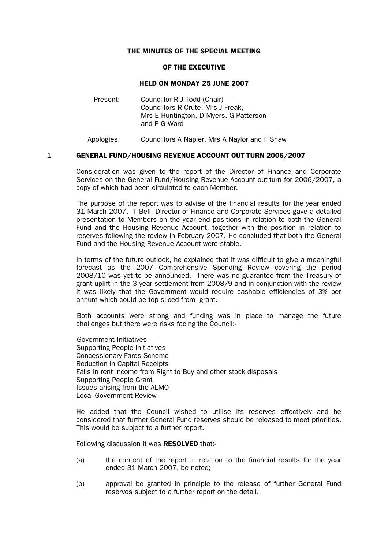## THE MINUTES OF THE SPECIAL MEETING

#### OF THE EXECUTIVE

#### HELD ON MONDAY 25 JUNE 2007

Present: Councillor R J Todd (Chair) Councillors R Crute, Mrs J Freak, Mrs E Huntington, D Myers, G Patterson and P G Ward

Apologies: Councillors A Napier, Mrs A Naylor and F Shaw

## 1 GENERAL FUND/HOUSING REVENUE ACCOUNT OUT-TURN 2006/2007

 Consideration was given to the report of the Director of Finance and Corporate Services on the General Fund/Housing Revenue Account out-turn for 2006/2007, a copy of which had been circulated to each Member.

 The purpose of the report was to advise of the financial results for the year ended 31 March 2007. T Bell, Director of Finance and Corporate Services gave a detailed presentation to Members on the year end positions in relation to both the General Fund and the Housing Revenue Account, together with the position in relation to reserves following the review in February 2007. He concluded that both the General Fund and the Housing Revenue Account were stable.

 In terms of the future outlook, he explained that it was difficult to give a meaningful forecast as the 2007 Comprehensive Spending Review covering the period 2008/10 was yet to be announced. There was no guarantee from the Treasury of grant uplift in the 3 year settlement from 2008/9 and in conjunction with the review it was likely that the Government would require cashable efficiencies of 3% per annum which could be top sliced from grant.

 Both accounts were strong and funding was in place to manage the future challenges but there were risks facing the Council:-

 Government Initiatives Supporting People Initiatives Concessionary Fares Scheme Reduction in Capital Receipts Falls in rent income from Right to Buy and other stock disposals Supporting People Grant Issues arising from the ALMO Local Government Review

He added that the Council wished to utilise its reserves effectively and he considered that further General Fund reserves should be released to meet priorities. This would be subject to a further report.

Following discussion it was RESOLVED that:-

- (a) the content of the report in relation to the financial results for the year ended 31 March 2007, be noted;
- (b) approval be granted in principle to the release of further General Fund reserves subject to a further report on the detail.